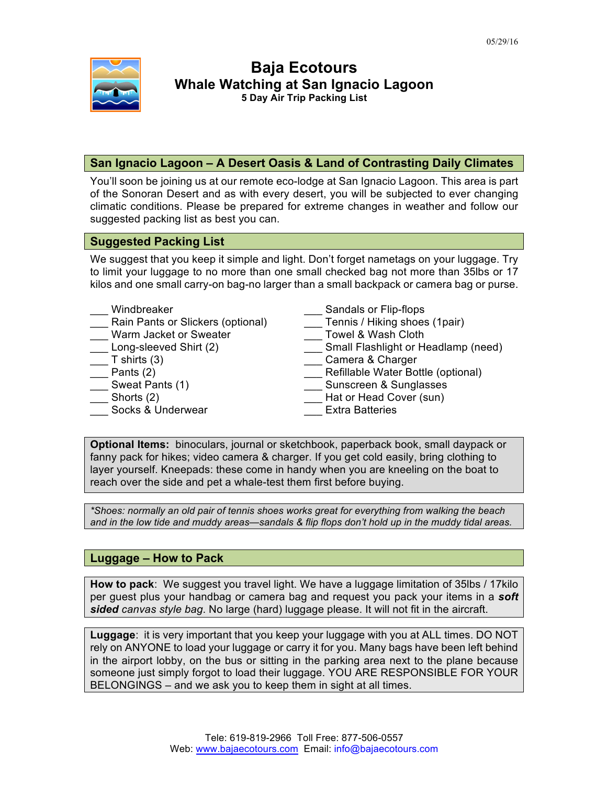

# **Baja Ecotours Whale Watching at San Ignacio Lagoon 5 Day Air Trip Packing List**

## **San Ignacio Lagoon – A Desert Oasis & Land of Contrasting Daily Climates**

You'll soon be joining us at our remote eco-lodge at San Ignacio Lagoon. This area is part of the Sonoran Desert and as with every desert, you will be subjected to ever changing climatic conditions. Please be prepared for extreme changes in weather and follow our suggested packing list as best you can.

### **Suggested Packing List**

We suggest that you keep it simple and light. Don't forget nametags on your luggage. Try to limit your luggage to no more than one small checked bag not more than 35lbs or 17 kilos and one small carry-on bag-no larger than a small backpack or camera bag or purse.

| Windbreaker                       | Sandals or Flip-flops               |
|-----------------------------------|-------------------------------------|
| Rain Pants or Slickers (optional) | Tennis / Hiking shoes (1pair)       |
| Warm Jacket or Sweater            | Towel & Wash Cloth                  |
| Long-sleeved Shirt (2)            | Small Flashlight or Headlamp (need) |
| T shirts $(3)$                    | Camera & Charger                    |
| Pants (2)                         | Refillable Water Bottle (optional)  |
| Sweat Pants (1)                   | Sunscreen & Sunglasses              |
| Shorts (2)                        | Hat or Head Cover (sun)             |
| Socks & Underwear                 | <b>Extra Batteries</b>              |

**Optional Items:** binoculars, journal or sketchbook, paperback book, small daypack or fanny pack for hikes; video camera & charger. If you get cold easily, bring clothing to layer yourself. Kneepads: these come in handy when you are kneeling on the boat to reach over the side and pet a whale-test them first before buying.

*\*Shoes: normally an old pair of tennis shoes works great for everything from walking the beach and in the low tide and muddy areas—sandals & flip flops don't hold up in the muddy tidal areas.*

### **Luggage – How to Pack**

**How to pack**: We suggest you travel light. We have a luggage limitation of 35lbs / 17kilo per guest plus your handbag or camera bag and request you pack your items in a *soft sided canvas style bag*. No large (hard) luggage please. It will not fit in the aircraft.

**Luggage**: it is very important that you keep your luggage with you at ALL times. DO NOT rely on ANYONE to load your luggage or carry it for you. Many bags have been left behind in the airport lobby, on the bus or sitting in the parking area next to the plane because someone just simply forgot to load their luggage. YOU ARE RESPONSIBLE FOR YOUR BELONGINGS – and we ask you to keep them in sight at all times.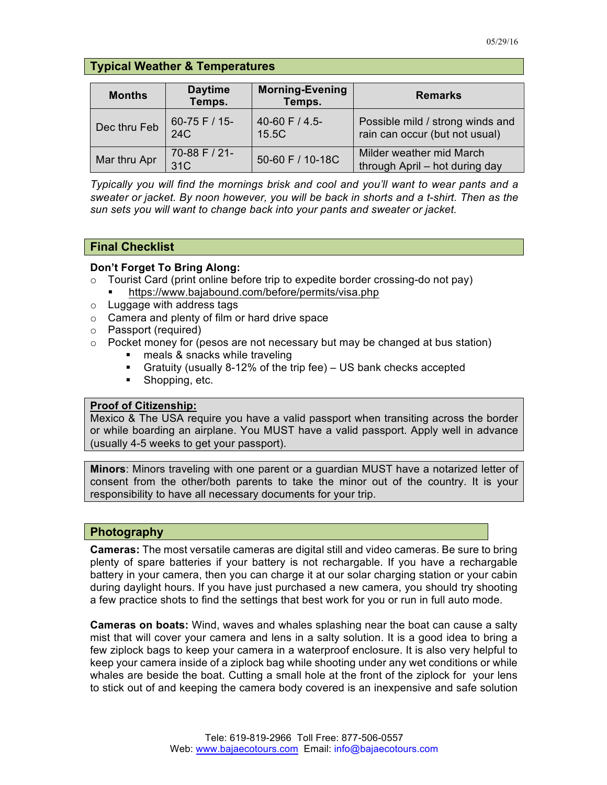# **Typical Weather & Temperatures**

| <b>Months</b> | <b>Daytime</b><br>Temps. | <b>Morning-Evening</b><br>Temps. | <b>Remarks</b>                                                     |
|---------------|--------------------------|----------------------------------|--------------------------------------------------------------------|
| Dec thru Feb  | 60-75 F / 15-<br>24C     | 40-60 F / 4.5-<br>15.5C          | Possible mild / strong winds and<br>rain can occur (but not usual) |
| Mar thru Apr  | 70-88 F / 21-<br>31C     | 50-60 F / 10-18C                 | Milder weather mid March<br>through April - hot during day         |

*Typically you will find the mornings brisk and cool and you'll want to wear pants and a sweater or jacket. By noon however, you will be back in shorts and a t-shirt. Then as the sun sets you will want to change back into your pants and sweater or jacket.*

## **Final Checklist**

#### **Don't Forget To Bring Along:**

- $\circ$  Tourist Card (print online before trip to expedite border crossing-do not pay)
	- § https://www.bajabound.com/before/permits/visa.php
- o Luggage with address tags
- o Camera and plenty of film or hard drive space
- o Passport (required)
- $\circ$  Pocket money for (pesos are not necessary but may be changed at bus station)
	- meals & snacks while traveling
	- § Gratuity (usually 8-12% of the trip fee) US bank checks accepted
	- Shopping, etc.

### **Proof of Citizenship:**

Mexico & The USA require you have a valid passport when transiting across the border or while boarding an airplane. You MUST have a valid passport. Apply well in advance (usually 4-5 weeks to get your passport).

**Minors**: Minors traveling with one parent or a guardian MUST have a notarized letter of consent from the other/both parents to take the minor out of the country. It is your responsibility to have all necessary documents for your trip.

### **Photography**

**Cameras:** The most versatile cameras are digital still and video cameras. Be sure to bring plenty of spare batteries if your battery is not rechargable. If you have a rechargable battery in your camera, then you can charge it at our solar charging station or your cabin during daylight hours. If you have just purchased a new camera, you should try shooting a few practice shots to find the settings that best work for you or run in full auto mode.

**Cameras on boats:** Wind, waves and whales splashing near the boat can cause a salty mist that will cover your camera and lens in a salty solution. It is a good idea to bring a few ziplock bags to keep your camera in a waterproof enclosure. It is also very helpful to keep your camera inside of a ziplock bag while shooting under any wet conditions or while whales are beside the boat. Cutting a small hole at the front of the ziplock for your lens to stick out of and keeping the camera body covered is an inexpensive and safe solution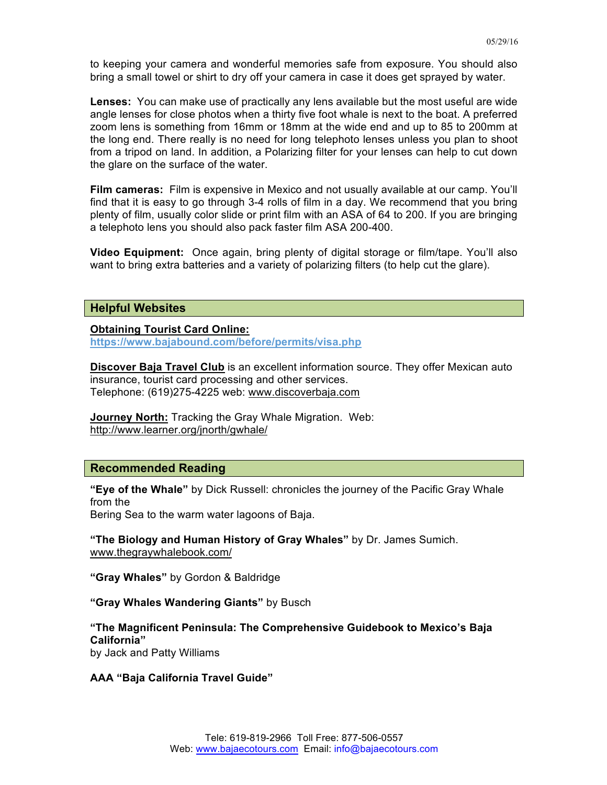to keeping your camera and wonderful memories safe from exposure. You should also bring a small towel or shirt to dry off your camera in case it does get sprayed by water.

**Lenses:** You can make use of practically any lens available but the most useful are wide angle lenses for close photos when a thirty five foot whale is next to the boat. A preferred zoom lens is something from 16mm or 18mm at the wide end and up to 85 to 200mm at the long end. There really is no need for long telephoto lenses unless you plan to shoot from a tripod on land. In addition, a Polarizing filter for your lenses can help to cut down the glare on the surface of the water.

**Film cameras:** Film is expensive in Mexico and not usually available at our camp. You'll find that it is easy to go through 3-4 rolls of film in a day. We recommend that you bring plenty of film, usually color slide or print film with an ASA of 64 to 200. If you are bringing a telephoto lens you should also pack faster film ASA 200-400.

**Video Equipment:** Once again, bring plenty of digital storage or film/tape. You'll also want to bring extra batteries and a variety of polarizing filters (to help cut the glare).

#### **Helpful Websites**

#### **Obtaining Tourist Card Online:**

**https://www.bajabound.com/before/permits/visa.php**

**Discover Baja Travel Club** is an excellent information source. They offer Mexican auto insurance, tourist card processing and other services. Telephone: (619)275-4225 web: www.discoverbaja.com

**Journey North:** Tracking the Gray Whale Migration. Web: http://www.learner.org/jnorth/gwhale/

### **Recommended Reading**

**"Eye of the Whale"** by Dick Russell: chronicles the journey of the Pacific Gray Whale from the

Bering Sea to the warm water lagoons of Baja.

**"The Biology and Human History of Gray Whales"** by Dr. James Sumich. www.thegraywhalebook.com/

**"Gray Whales"** by Gordon & Baldridge

**"Gray Whales Wandering Giants"** by Busch

**"The Magnificent Peninsula: The Comprehensive Guidebook to Mexico's Baja California"** by Jack and Patty Williams

**AAA "Baja California Travel Guide"**